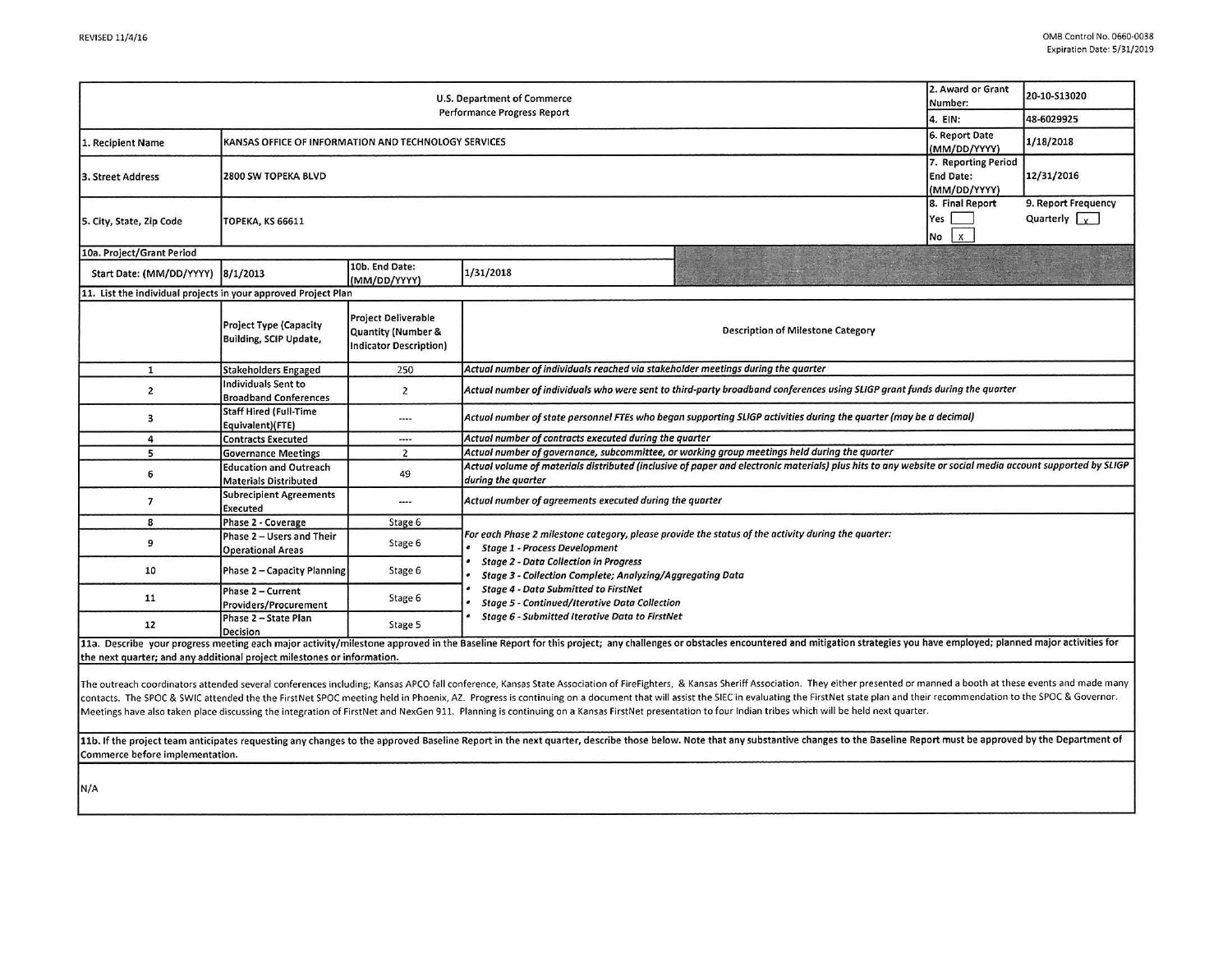| U.S. Department of Commerce<br><b>Performance Progress Report</b> |                                                               |                                                                                   |                                                                                                                                                                                                                                                         |                                                                                                                                                                                                                                | 2. Award or Grant<br>Number:                            | 20-10-S13020                                |  |  |  |
|-------------------------------------------------------------------|---------------------------------------------------------------|-----------------------------------------------------------------------------------|---------------------------------------------------------------------------------------------------------------------------------------------------------------------------------------------------------------------------------------------------------|--------------------------------------------------------------------------------------------------------------------------------------------------------------------------------------------------------------------------------|---------------------------------------------------------|---------------------------------------------|--|--|--|
|                                                                   |                                                               |                                                                                   |                                                                                                                                                                                                                                                         |                                                                                                                                                                                                                                | 4. EIN:                                                 | 48-6029925                                  |  |  |  |
| 1. Recipient Name                                                 | KANSAS OFFICE OF INFORMATION AND TECHNOLOGY SERVICES          |                                                                                   |                                                                                                                                                                                                                                                         |                                                                                                                                                                                                                                | 6. Report Date<br>(MM/DD/YYYY)                          | 1/18/2018                                   |  |  |  |
| 3. Street Address                                                 | 2800 SW TOPEKA BLVD                                           |                                                                                   |                                                                                                                                                                                                                                                         |                                                                                                                                                                                                                                | 7. Reporting Period<br><b>End Date:</b><br>(MM/DD/YYYY) | 12/31/2016                                  |  |  |  |
| 5. City, State, Zip Code                                          | <b>ТОРЕКА, КЅ 66611</b>                                       |                                                                                   |                                                                                                                                                                                                                                                         |                                                                                                                                                                                                                                | 8. Final Report<br>Yes<br>NO X                          | 9. Report Frequency<br>Quarterly $\sqrt{x}$ |  |  |  |
| 10a. Project/Grant Period                                         |                                                               |                                                                                   |                                                                                                                                                                                                                                                         |                                                                                                                                                                                                                                |                                                         |                                             |  |  |  |
| Start Date: (MM/DD/YYYY)                                          | 8/1/2013                                                      | 10b. End Date:<br>(MM/DD/YYYY)                                                    | 1/31/2018                                                                                                                                                                                                                                               |                                                                                                                                                                                                                                |                                                         |                                             |  |  |  |
| 11. List the individual projects in your approved Project Plan    |                                                               |                                                                                   |                                                                                                                                                                                                                                                         |                                                                                                                                                                                                                                |                                                         |                                             |  |  |  |
|                                                                   | <b>Project Type (Capacity</b><br>Building, SCIP Update,       | <b>Project Deliverable</b><br>Quantity (Number &<br><b>Indicator Description)</b> |                                                                                                                                                                                                                                                         | <b>Description of Milestone Category</b>                                                                                                                                                                                       |                                                         |                                             |  |  |  |
| $\mathbf{1}$                                                      | Stakeholders Engaged                                          | 250                                                                               | Actual number of individuals reached via stakeholder meetings during the quarter                                                                                                                                                                        |                                                                                                                                                                                                                                |                                                         |                                             |  |  |  |
| $\overline{\mathbf{c}}$                                           | <b>Individuals Sent to</b><br><b>Broadband Conferences</b>    | $\overline{2}$                                                                    | Actual number of individuals who were sent to third-party broadband conferences using SLIGP grant funds during the quarter                                                                                                                              |                                                                                                                                                                                                                                |                                                         |                                             |  |  |  |
| 3                                                                 | <b>Staff Hired (Full-Time</b><br>Equivalent)(FTE)             | $-$                                                                               | Actual number of state personnel FTEs who began supporting SLIGP activities during the quarter (may be a decimal)                                                                                                                                       |                                                                                                                                                                                                                                |                                                         |                                             |  |  |  |
| 4                                                                 | <b>Contracts Executed</b>                                     | ----                                                                              | Actual number of contracts executed during the quarter                                                                                                                                                                                                  |                                                                                                                                                                                                                                |                                                         |                                             |  |  |  |
| 5                                                                 | <b>Governance Meetings</b>                                    | $\overline{2}$                                                                    | Actual number of governance, subcommittee, or working group meetings held during the quarter                                                                                                                                                            |                                                                                                                                                                                                                                |                                                         |                                             |  |  |  |
| 6                                                                 | <b>Education and Outreach</b><br><b>Materials Distributed</b> | 49                                                                                | Actual volume of materials distributed (inclusive of paper and electronic materials) plus hits to any website or social media account supported by SLIGP<br>during the quarter                                                                          |                                                                                                                                                                                                                                |                                                         |                                             |  |  |  |
| 7                                                                 | <b>Subrecipient Agreements</b><br>Executed                    | ----                                                                              | Actual number of agreements executed during the quarter                                                                                                                                                                                                 |                                                                                                                                                                                                                                |                                                         |                                             |  |  |  |
| 8                                                                 | Phase 2 - Coverage                                            | Stage 6                                                                           |                                                                                                                                                                                                                                                         |                                                                                                                                                                                                                                |                                                         |                                             |  |  |  |
| 9                                                                 | Phase 2 - Users and Their<br><b>Operational Areas</b>         | Stage 6                                                                           | For each Phase 2 milestone category, please provide the status of the activity during the quarter:<br><b>Stage 1 - Process Development</b><br><b>Stage 2 - Data Collection in Progress</b><br>Stage 3 - Collection Complete; Analyzing/Aggregating Data |                                                                                                                                                                                                                                |                                                         |                                             |  |  |  |
| 10                                                                | Phase 2 - Capacity Planning                                   | Stage 6                                                                           |                                                                                                                                                                                                                                                         |                                                                                                                                                                                                                                |                                                         |                                             |  |  |  |
| 11                                                                | Phase 2 - Current<br>Providers/Procurement                    | Stage 6                                                                           | <b>Stage 4 - Data Submitted to FirstNet</b><br><b>Stage 5 - Continued/Iterative Data Collection</b>                                                                                                                                                     |                                                                                                                                                                                                                                |                                                         |                                             |  |  |  |
| 12                                                                | Phase 2 - State Plan<br>Decision                              | Stage 5                                                                           | Stage 6 - Submitted Iterative Data to FirstNet                                                                                                                                                                                                          |                                                                                                                                                                                                                                |                                                         |                                             |  |  |  |
|                                                                   |                                                               |                                                                                   |                                                                                                                                                                                                                                                         | 11a. Describe your progress meeting each major activity/milestone approved in the Baseline Report for this project; any challenges or obstacles encountered and mitigation strategies you have employed; planned major activit |                                                         |                                             |  |  |  |

the next quarter; and any additional project milestones or information.

The outreach coordinators attended several conferences including; Kansas APCO fall conference, Kansas State Association of FireFighters, & Kansas Sheriff Association. They either presented or manned a booth at these events contacts. The SPOC & SWIC attended the the FirstNet SPOC meeting held in Phoenix, AZ. Progress is continuing on a document that will assist the SIEC in evaluating the FirstNet state plan and their recommendation to the SPO Meetings have also taken place discussing the integration of FirstNet and NexGen 911. Planning is continuing on a Kansas FirstNet presentation to four Indian tribes which will be held next quarter.

11b. If the project team anticipates requesting any changes to the approved Baseline Report in the next quarter, describe those below. Note that any substantive changes to the Baseline Report must be approved by the Depart Commerce before implementation.

N/A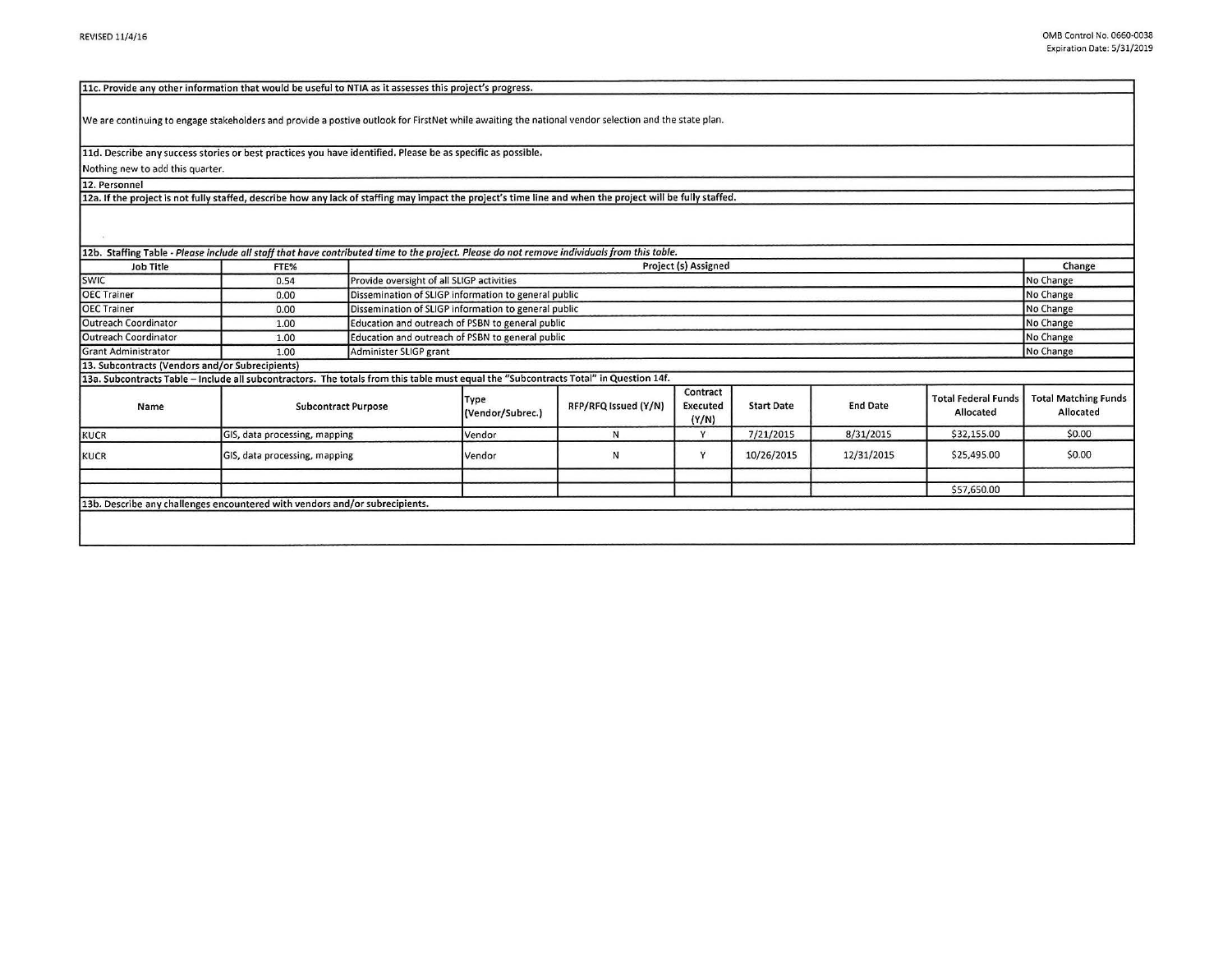| 11c. Provide any other information that would be useful to NTIA as it assesses this project's progress.                                                    |                               |  |                                                               |                      |                               |                   |                 |                                         |                                          |  |
|------------------------------------------------------------------------------------------------------------------------------------------------------------|-------------------------------|--|---------------------------------------------------------------|----------------------|-------------------------------|-------------------|-----------------|-----------------------------------------|------------------------------------------|--|
| We are continuing to engage stakeholders and provide a postive outlook for FirstNet while awaiting the national vendor selection and the state plan.       |                               |  |                                                               |                      |                               |                   |                 |                                         |                                          |  |
| 11d. Describe any success stories or best practices you have identified. Please be as specific as possible.                                                |                               |  |                                                               |                      |                               |                   |                 |                                         |                                          |  |
| Nothing new to add this quarter.                                                                                                                           |                               |  |                                                               |                      |                               |                   |                 |                                         |                                          |  |
| 12. Personnel                                                                                                                                              |                               |  |                                                               |                      |                               |                   |                 |                                         |                                          |  |
| 12a. If the project is not fully staffed, describe how any lack of staffing may impact the project's time line and when the project will be fully staffed. |                               |  |                                                               |                      |                               |                   |                 |                                         |                                          |  |
| 12b. Staffing Table - Please include all staff that have contributed time to the project. Please do not remove individuals from this table.                |                               |  |                                                               |                      |                               |                   |                 |                                         |                                          |  |
| Job Title                                                                                                                                                  | FTE%                          |  | Project (s) Assigned                                          |                      |                               |                   |                 |                                         |                                          |  |
| <b>SWIC</b>                                                                                                                                                | 0.54                          |  | Provide oversight of all SLIGP activities<br>No Change        |                      |                               |                   |                 |                                         |                                          |  |
| <b>OEC Trainer</b>                                                                                                                                         | 0.00                          |  | Dissemination of SLIGP information to general public          |                      |                               |                   |                 |                                         | No Change                                |  |
| <b>OEC Trainer</b>                                                                                                                                         | 0.00                          |  | Dissemination of SLIGP information to general public          |                      |                               |                   |                 |                                         |                                          |  |
| Outreach Coordinator                                                                                                                                       | 1.00                          |  | Education and outreach of PSBN to general public              |                      |                               |                   |                 |                                         |                                          |  |
| Outreach Coordinator                                                                                                                                       | 1.00                          |  | Education and outreach of PSBN to general public<br>No Change |                      |                               |                   |                 |                                         |                                          |  |
| <b>Grant Administrator</b>                                                                                                                                 | 1.00                          |  | Administer SLIGP grant                                        |                      |                               |                   |                 |                                         |                                          |  |
| 13. Subcontracts (Vendors and/or Subrecipients)                                                                                                            |                               |  |                                                               |                      |                               |                   |                 |                                         |                                          |  |
| 13a. Subcontracts Table - Include all subcontractors. The totals from this table must equal the "Subcontracts Total" in Question 14f.                      |                               |  |                                                               |                      |                               |                   |                 |                                         |                                          |  |
| Name                                                                                                                                                       | <b>Subcontract Purpose</b>    |  | Type<br>(Vendor/Subrec.)                                      | RFP/RFQ Issued (Y/N) | Contract<br>Executed<br>(Y/N) | <b>Start Date</b> | <b>End Date</b> | <b>Total Federal Funds</b><br>Allocated | <b>Total Matching Funds</b><br>Allocated |  |
| KUCR                                                                                                                                                       | GIS, data processing, mapping |  | Vendor                                                        | N                    | Y                             | 7/21/2015         | 8/31/2015       | \$32,155.00                             | \$0.00                                   |  |
| KUCR                                                                                                                                                       | GIS, data processing, mapping |  | Vendor                                                        | N                    | Y                             | 10/26/2015        | 12/31/2015      | \$25,495.00                             | \$0.00                                   |  |
|                                                                                                                                                            |                               |  |                                                               |                      |                               |                   |                 |                                         |                                          |  |
|                                                                                                                                                            |                               |  |                                                               |                      |                               |                   |                 | \$57,650.00                             |                                          |  |
| 13b. Describe any challenges encountered with vendors and/or subrecipients.                                                                                |                               |  |                                                               |                      |                               |                   |                 |                                         |                                          |  |
|                                                                                                                                                            |                               |  |                                                               |                      |                               |                   |                 |                                         |                                          |  |